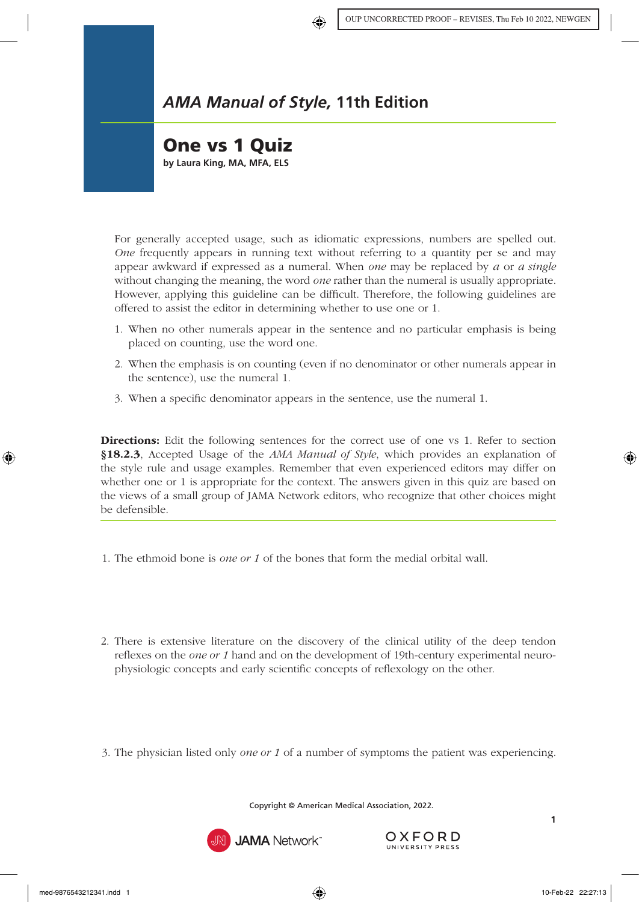## *AMA Manual of Style,* **11th Edition**

## One vs 1 Quiz

**by Laura King, MA, MFA, ELS**

For generally accepted usage, such as idiomatic expressions, numbers are spelled out. *One* frequently appears in running text without referring to a quantity per se and may appear awkward if expressed as a numeral. When *one* may be replaced by *a* or *a single* without changing the meaning, the word *one* rather than the numeral is usually appropriate. However, applying this guideline can be difficult. Therefore, the following guidelines are offered to assist the editor in determining whether to use one or 1.

- 1. When no other numerals appear in the sentence and no particular emphasis is being placed on counting, use the word one.
- 2. When the emphasis is on counting (even if no denominator or other numerals appear in the sentence), use the numeral 1.
- 3. When a specific denominator appears in the sentence, use the numeral 1.

Directions: Edit the following sentences for the correct use of one vs 1. Refer to section §18.2.3[, Accepted Usage](https://www.amamanualofstyle.com/view/10.1093/jama/9780190246556.001.0001/med-9780190246556-chapter-18-div2-11) of the *AMA Manual of Style*, which provides an explanation of the style rule and usage examples. Remember that even experienced editors may differ on whether one or 1 is appropriate for the context. The answers given in this quiz are based on the views of a small group of JAMA Network editors, who recognize that other choices might be defensible.

- 1. The ethmoid bone is *one or 1* of the bones that form the medial orbital wall.
- 2. There is extensive literature on the discovery of the clinical utility of the deep tendon reflexes on the *one or 1* hand and on the development of 19th-century experimental neurophysiologic concepts and early scientific concepts of reflexology on the other.
- 3. The physician listed only *one or 1* of a number of symptoms the patient was experiencing.

Copyright © American Medical Association, 2022.



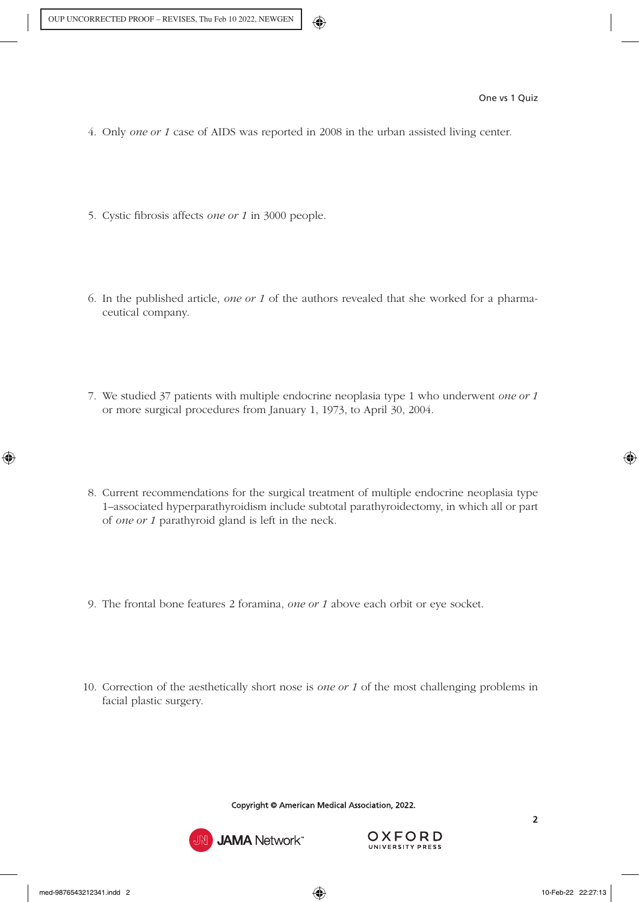- 4. Only *one or 1* case of AIDS was reported in 2008 in the urban assisted living center.
- 5. Cystic fibrosis affects *one or 1* in 3000 people.
- 6. In the published article, *one or 1* of the authors revealed that she worked for a pharmaceutical company.
- 7. We studied 37 patients with multiple endocrine neoplasia type 1 who underwent *one or 1* or more surgical procedures from January 1, 1973, to April 30, 2004.
- 8. Current recommendations for the surgical treatment of multiple endocrine neoplasia type 1–associated hyperparathyroidism include subtotal parathyroidectomy, in which all or part of *one or 1* parathyroid gland is left in the neck.
- 9. The frontal bone features 2 foramina, *one or 1* above each orbit or eye socket.
- 10. Correction of the aesthetically short nose is *one or 1* of the most challenging problems in facial plastic surgery.

Copyright © American Medical Association, 2022.